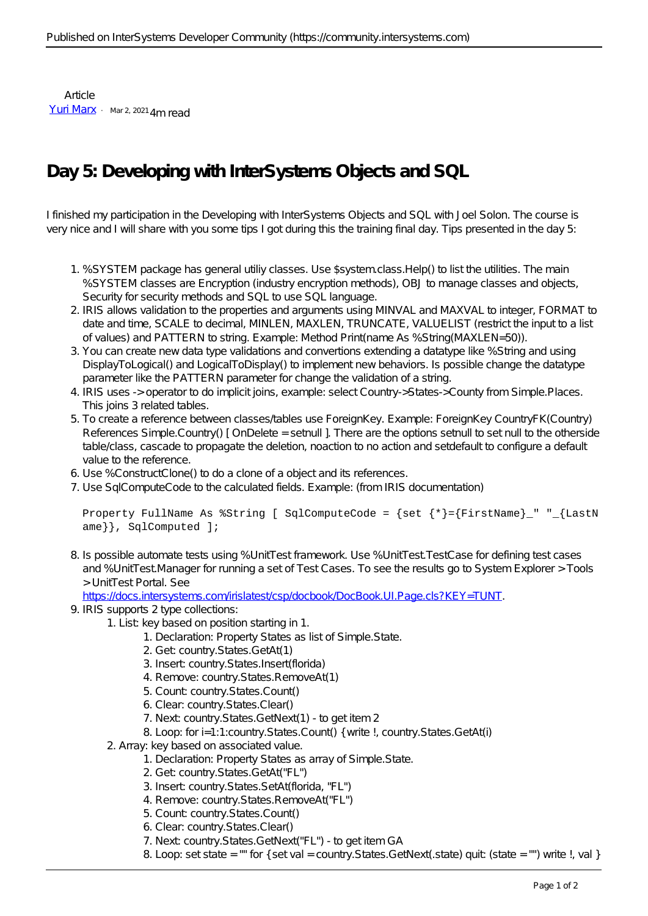Article [Yuri Marx](https://community.intersystems.com/user/yuri-marx) Mar 2, 2021 4m read

## **Day 5: Developing with InterSystems Objects and SQL**

I finished my participation in the Developing with InterSystems Objects and SQL with Joel Solon. The course is very nice and I will share with you some tips I got during this the training final day. Tips presented in the day 5:

- 1. %SYSTEM package has general utiliy classes. Use \$system.class.Help() to list the utilities. The main %SYSTEM classes are Encryption (industry encryption methods), OBJ to manage classes and objects, Security for security methods and SQL to use SQL language.
- 2. IRIS allows validation to the properties and arguments using MINVAL and MAXVAL to integer, FORMAT to date and time, SCALE to decimal, MINLEN, MAXLEN, TRUNCATE, VALUELIST (restrict the input to a list of values) and PATTERN to string. Example: Method Print(name As %String(MAXLEN=50)).
- 3. You can create new data type validations and convertions extending a datatype like %String and using DisplayToLogical() and LogicalToDisplay() to implement new behaviors. Is possible change the datatype parameter like the PATTERN parameter for change the validation of a string.
- 4. IRIS uses -> operator to do implicit joins, example: select Country->States->County from Simple.Places. This joins 3 related tables.
- 5. To create a reference between classes/tables use ForeignKey. Example: ForeignKey CountryFK(Country) References Simple.Country() [ OnDelete = setnull ]. There are the options setnull to set null to the otherside table/class, cascade to propagate the deletion, noaction to no action and setdefault to configure a default value to the reference.
- 6. Use %ConstructClone() to do a clone of a object and its references.
- 7. Use SqlComputeCode to the calculated fields. Example: (from IRIS documentation)

## Property FullName As  $%$ String [ SqlComputeCode = {set {\*}={FirstName}\_" "\_{LastN ame}}, SqlComputed ];

8. Is possible automate tests using %UnitTest framework. Use %UnitTest.TestCase for defining test cases and %UnitTest.Manager for running a set of Test Cases. To see the results go to System Explorer > Tools > UnitTest Portal. See

<https://docs.intersystems.com/irislatest/csp/docbook/DocBook.UI.Page.cls?KEY=TUNT>.

- 9. IRIS supports 2 type collections:
	- 1. List: key based on position starting in 1.
		- 1. Declaration: Property States as list of Simple. State.
		- 2. Get: country. States.  $G \in A$ t(1)
		- 3. Insert country. States. Insert(florida)
		- 4. Remove: country. States. Remove At (1)
		- 5. Count: country.States.Count()
		- 6. Clear: country.States.Clear()
		- 7. Next country. States. GetNext(1) to get item 2
		- 8. Loop: for  $i=1:1:county.S$  ta tes. Count() { write !, country. S ta tes. G etAt(i)
	- 2. Array: key based on associated value.
		- 1. Declaration: Property States as array of Simple.State.
		- 2. Get: country.States.GetAt("FL")
		- 3. Insert: country.States.SetAt(florida, "FL")
		- 4. Remove: country. States. Remove A t("FL")
		- 5. Count: country.States.Count()
		- 6. Clear: country.States.Clear()
		- 7. Next country.States.GetNext("FL") to get item GA
		- 8. Loop: set state = "" for  $\{$  set val = country. States. GetNext(. state) quit: (state = "") write !, val }